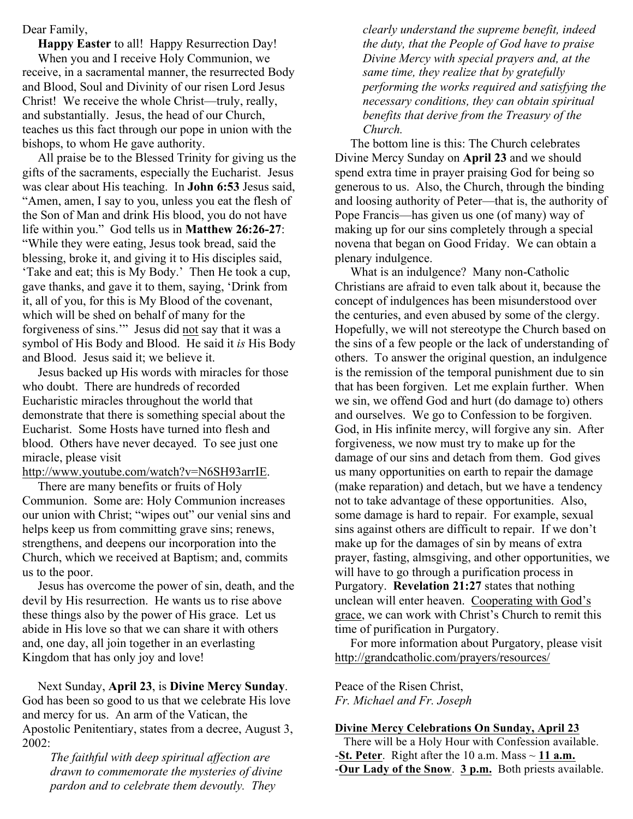Dear Family,

 **Happy Easter** to all! Happy Resurrection Day! When you and I receive Holy Communion, we receive, in a sacramental manner, the resurrected Body and Blood, Soul and Divinity of our risen Lord Jesus Christ! We receive the whole Christ—truly, really, and substantially. Jesus, the head of our Church, teaches us this fact through our pope in union with the bishops, to whom He gave authority.

 All praise be to the Blessed Trinity for giving us the gifts of the sacraments, especially the Eucharist. Jesus was clear about His teaching. In **John 6:53** Jesus said, "Amen, amen, I say to you, unless you eat the flesh of the Son of Man and drink His blood, you do not have life within you." God tells us in **Matthew 26:26-27**: "While they were eating, Jesus took bread, said the blessing, broke it, and giving it to His disciples said, 'Take and eat; this is My Body.' Then He took a cup, gave thanks, and gave it to them, saying, 'Drink from it, all of you, for this is My Blood of the covenant, which will be shed on behalf of many for the forgiveness of sins.'" Jesus did not say that it was a symbol of His Body and Blood. He said it *is* His Body and Blood. Jesus said it; we believe it.

 Jesus backed up His words with miracles for those who doubt. There are hundreds of recorded Eucharistic miracles throughout the world that demonstrate that there is something special about the Eucharist. Some Hosts have turned into flesh and blood. Others have never decayed. To see just one miracle, please visit

http://www.youtube.com/watch?v=N6SH93arrIE.

 There are many benefits or fruits of Holy Communion. Some are: Holy Communion increases our union with Christ; "wipes out" our venial sins and helps keep us from committing grave sins; renews, strengthens, and deepens our incorporation into the Church, which we received at Baptism; and, commits us to the poor.

 Jesus has overcome the power of sin, death, and the devil by His resurrection. He wants us to rise above these things also by the power of His grace. Let us abide in His love so that we can share it with others and, one day, all join together in an everlasting Kingdom that has only joy and love!

 Next Sunday, **April 23**, is **Divine Mercy Sunday**. God has been so good to us that we celebrate His love and mercy for us. An arm of the Vatican, the Apostolic Penitentiary, states from a decree, August 3, 2002:

*The faithful with deep spiritual affection are drawn to commemorate the mysteries of divine pardon and to celebrate them devoutly. They* 

*clearly understand the supreme benefit, indeed the duty, that the People of God have to praise Divine Mercy with special prayers and, at the same time, they realize that by gratefully performing the works required and satisfying the necessary conditions, they can obtain spiritual benefits that derive from the Treasury of the Church.*

 The bottom line is this: The Church celebrates Divine Mercy Sunday on **April 23** and we should spend extra time in prayer praising God for being so generous to us. Also, the Church, through the binding and loosing authority of Peter—that is, the authority of Pope Francis—has given us one (of many) way of making up for our sins completely through a special novena that began on Good Friday. We can obtain a plenary indulgence.

 What is an indulgence? Many non-Catholic Christians are afraid to even talk about it, because the concept of indulgences has been misunderstood over the centuries, and even abused by some of the clergy. Hopefully, we will not stereotype the Church based on the sins of a few people or the lack of understanding of others. To answer the original question, an indulgence is the remission of the temporal punishment due to sin that has been forgiven. Let me explain further. When we sin, we offend God and hurt (do damage to) others and ourselves. We go to Confession to be forgiven. God, in His infinite mercy, will forgive any sin. After forgiveness, we now must try to make up for the damage of our sins and detach from them. God gives us many opportunities on earth to repair the damage (make reparation) and detach, but we have a tendency not to take advantage of these opportunities. Also, some damage is hard to repair. For example, sexual sins against others are difficult to repair. If we don't make up for the damages of sin by means of extra prayer, fasting, almsgiving, and other opportunities, we will have to go through a purification process in Purgatory. **Revelation 21:27** states that nothing unclean will enter heaven. Cooperating with God's grace, we can work with Christ's Church to remit this time of purification in Purgatory.

 For more information about Purgatory, please visit http://grandcatholic.com/prayers/resources/

Peace of the Risen Christ, *Fr. Michael and Fr. Joseph*

### **Divine Mercy Celebrations On Sunday, April 23**

 There will be a Holy Hour with Confession available. **-St. Peter**. Right after the 10 a.m. Mass  $\sim$  11 a.m. -**Our Lady of the Snow**. **3 p.m.** Both priests available.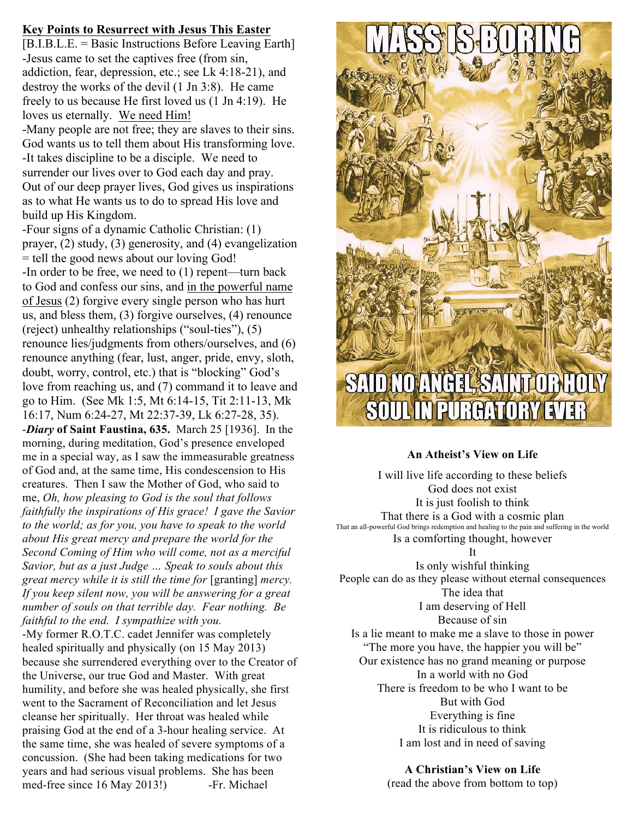## **Key Points to Resurrect with Jesus This Easter**

[B.I.B.L.E. = Basic Instructions Before Leaving Earth] -Jesus came to set the captives free (from sin, addiction, fear, depression, etc.; see Lk 4:18-21), and destroy the works of the devil (1 Jn 3:8). He came freely to us because He first loved us (1 Jn 4:19). He loves us eternally. We need Him!

-Many people are not free; they are slaves to their sins. God wants us to tell them about His transforming love. -It takes discipline to be a disciple. We need to surrender our lives over to God each day and pray. Out of our deep prayer lives, God gives us inspirations as to what He wants us to do to spread His love and build up His Kingdom.

-Four signs of a dynamic Catholic Christian: (1) prayer, (2) study, (3) generosity, and (4) evangelization = tell the good news about our loving God! -In order to be free, we need to (1) repent—turn back to God and confess our sins, and in the powerful name of Jesus (2) forgive every single person who has hurt us, and bless them, (3) forgive ourselves, (4) renounce (reject) unhealthy relationships ("soul-ties"), (5) renounce lies/judgments from others/ourselves, and (6) renounce anything (fear, lust, anger, pride, envy, sloth, doubt, worry, control, etc.) that is "blocking" God's love from reaching us, and (7) command it to leave and go to Him. (See Mk 1:5, Mt 6:14-15, Tit 2:11-13, Mk 16:17, Num 6:24-27, Mt 22:37-39, Lk 6:27-28, 35). -*Diary* **of Saint Faustina, 635.** March 25 [1936]. In the morning, during meditation, God's presence enveloped me in a special way, as I saw the immeasurable greatness of God and, at the same time, His condescension to His creatures. Then I saw the Mother of God, who said to me, *Oh, how pleasing to God is the soul that follows faithfully the inspirations of His grace! I gave the Savior to the world; as for you, you have to speak to the world about His great mercy and prepare the world for the Second Coming of Him who will come, not as a merciful Savior, but as a just Judge … Speak to souls about this great mercy while it is still the time for* [granting] *mercy. If you keep silent now, you will be answering for a great number of souls on that terrible day. Fear nothing. Be faithful to the end. I sympathize with you.* -My former R.O.T.C. cadet Jennifer was completely healed spiritually and physically (on 15 May 2013) because she surrendered everything over to the Creator of the Universe, our true God and Master. With great humility, and before she was healed physically, she first went to the Sacrament of Reconciliation and let Jesus cleanse her spiritually. Her throat was healed while praising God at the end of a 3-hour healing service. At

the same time, she was healed of severe symptoms of a concussion. (She had been taking medications for two years and had serious visual problems. She has been med-free since 16 May 2013!) -Fr. Michael



## **An Atheist's View on Life**

I will live life according to these beliefs God does not exist It is just foolish to think That there is a God with a cosmic plan That an all-powerful God brings redemption and healing to the pain and suffering in the world Is a comforting thought, however It Is only wishful thinking People can do as they please without eternal consequences The idea that I am deserving of Hell Because of sin Is a lie meant to make me a slave to those in power "The more you have, the happier you will be" Our existence has no grand meaning or purpose In a world with no God There is freedom to be who I want to be But with God

Everything is fine It is ridiculous to think I am lost and in need of saving

**A Christian's View on Life** (read the above from bottom to top)